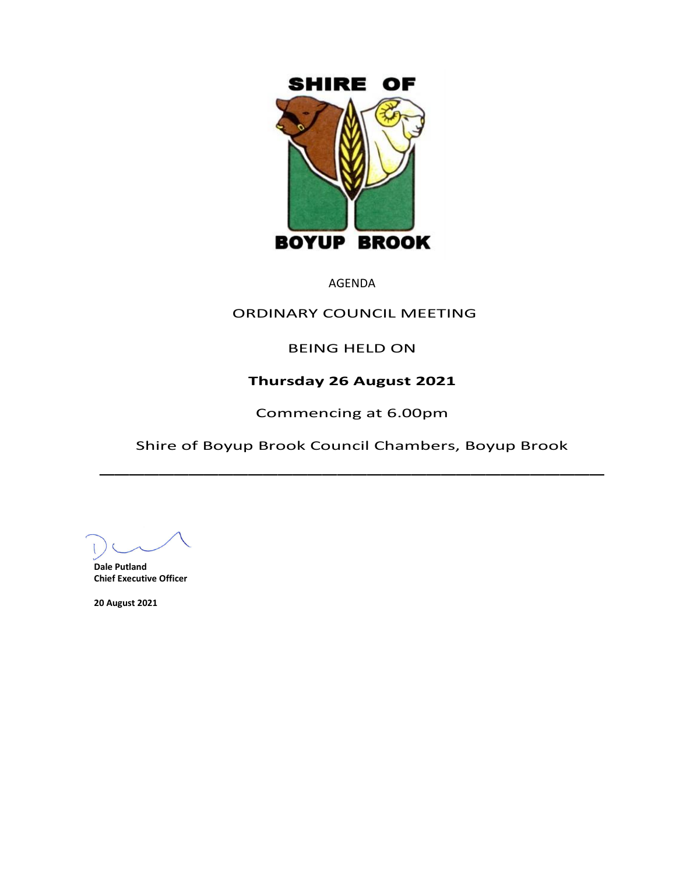

AGENDA

## ORDINARY COUNCIL MEETING

BEING HELD ON

# **Thursday 26 August 2021**

Commencing at 6.00pm

Shire of Boyup Brook Council Chambers, Boyup Brook  $\overline{\phantom{a}}$ 

**Dale Putland Chief Executive Officer**

**20 August 2021**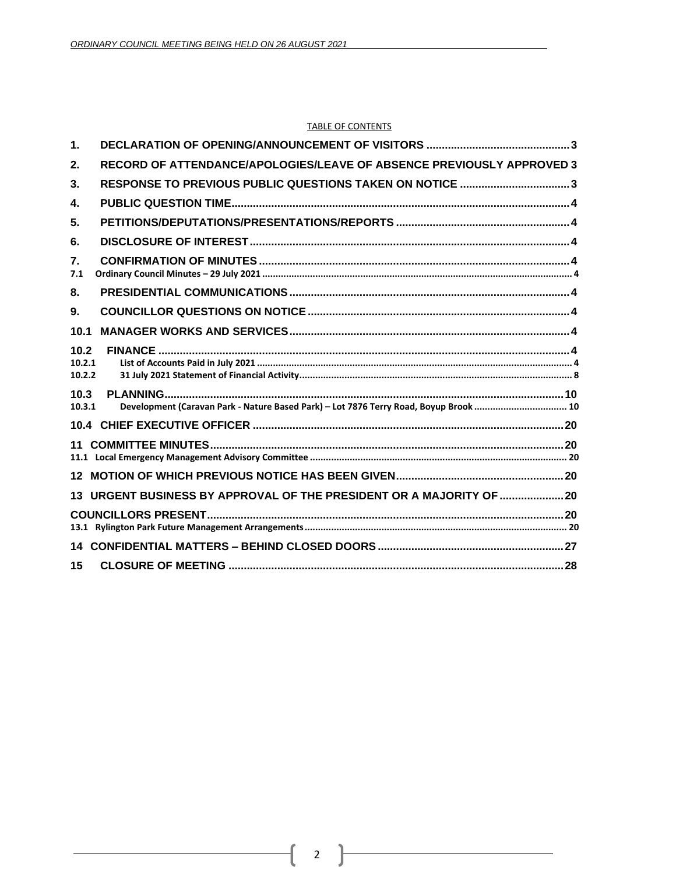#### **TABLE OF CONTENTS**

| $\mathbf 1$ .            |                                                                                       |  |
|--------------------------|---------------------------------------------------------------------------------------|--|
| 2.                       | RECORD OF ATTENDANCE/APOLOGIES/LEAVE OF ABSENCE PREVIOUSLY APPROVED 3                 |  |
| 3.                       | RESPONSE TO PREVIOUS PUBLIC QUESTIONS TAKEN ON NOTICE 3                               |  |
| 4.                       |                                                                                       |  |
| 5.                       |                                                                                       |  |
| 6.                       |                                                                                       |  |
| 7.<br>7.1                |                                                                                       |  |
| 8.                       |                                                                                       |  |
| 9.                       |                                                                                       |  |
| 10.1                     |                                                                                       |  |
| 10.2<br>10.2.1<br>10.2.2 |                                                                                       |  |
| 10.3<br>10.3.1           | Development (Caravan Park - Nature Based Park) - Lot 7876 Terry Road, Boyup Brook  10 |  |
|                          |                                                                                       |  |
| 11                       |                                                                                       |  |
|                          |                                                                                       |  |
|                          | 13 URGENT BUSINESS BY APPROVAL OF THE PRESIDENT OR A MAJORITY OF  20                  |  |
|                          |                                                                                       |  |
| 14                       |                                                                                       |  |
| 15                       |                                                                                       |  |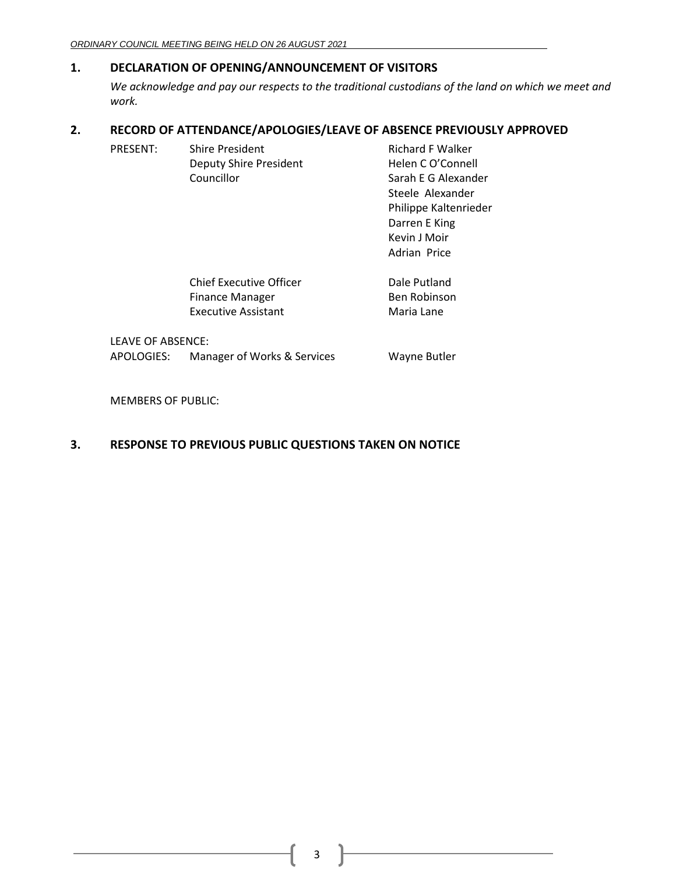## <span id="page-2-0"></span>**1. DECLARATION OF OPENING/ANNOUNCEMENT OF VISITORS**

*We acknowledge and pay our respects to the traditional custodians of the land on which we meet and work.*

## <span id="page-2-1"></span>**2. RECORD OF ATTENDANCE/APOLOGIES/LEAVE OF ABSENCE PREVIOUSLY APPROVED**

| PRESENT: | <b>Shire President</b>        | <b>Richard F Walker</b> |
|----------|-------------------------------|-------------------------|
|          | <b>Deputy Shire President</b> | Helen C O'Connell       |
|          | Councillor                    | Sarah E G Alexander     |
|          |                               | Steele Alexander        |
|          |                               | Philippe Kaltenrieder   |
|          |                               | Darren E King           |
|          |                               | Kevin J Moir            |

| Chief Executive Officer | Dale Putland        |
|-------------------------|---------------------|
| Finance Manager         | <b>Ben Robinson</b> |
| Executive Assistant     | Maria Lane          |

LEAVE OF ABSENCE:

APOLOGIES: Manager of Works & Services Wayne Butler

Adrian Price

MEMBERS OF PUBLIC:

## <span id="page-2-2"></span>**3. RESPONSE TO PREVIOUS PUBLIC QUESTIONS TAKEN ON NOTICE**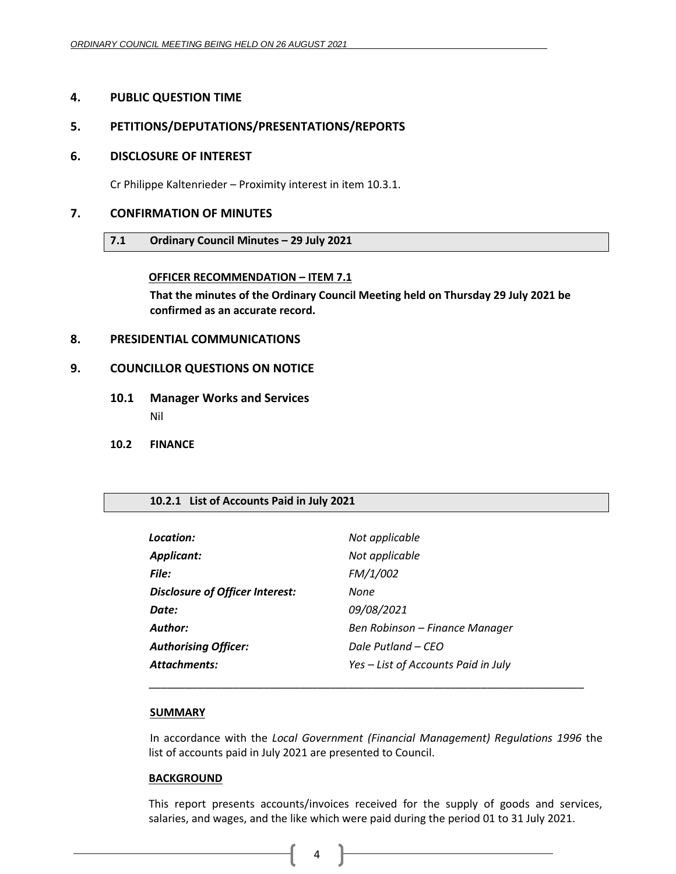## <span id="page-3-0"></span>**4. PUBLIC QUESTION TIME**

## <span id="page-3-1"></span>**5. PETITIONS/DEPUTATIONS/PRESENTATIONS/REPORTS**

### <span id="page-3-2"></span>**6. DISCLOSURE OF INTEREST**

Cr Philippe Kaltenrieder – Proximity interest in item 10.3.1.

## <span id="page-3-4"></span><span id="page-3-3"></span>**7. CONFIRMATION OF MINUTES**

### **7.1 Ordinary Council Minutes – 29 July 2021**

### **OFFICER RECOMMENDATION – ITEM 7.1**

**That the minutes of the Ordinary Council Meeting held on Thursday 29 July 2021 be confirmed as an accurate record.**

### <span id="page-3-5"></span>**8. PRESIDENTIAL COMMUNICATIONS**

### <span id="page-3-6"></span>**9. COUNCILLOR QUESTIONS ON NOTICE**

- <span id="page-3-7"></span>**10.1 Manager Works and Services** Nil
- <span id="page-3-8"></span>**10.2 FINANCE**

#### <span id="page-3-9"></span>**10.2.1 List of Accounts Paid in July 2021**

| Location:                              | Not applicable                      |
|----------------------------------------|-------------------------------------|
| <b>Applicant:</b>                      | Not applicable                      |
| File:                                  | FM/1/002                            |
| <b>Disclosure of Officer Interest:</b> | None                                |
| Date:                                  | 09/08/2021                          |
| Author:                                | Ben Robinson – Finance Manager      |
| <b>Authorising Officer:</b>            | Dale Putland – CEO                  |
| <b>Attachments:</b>                    | Yes - List of Accounts Paid in July |
|                                        |                                     |

#### **SUMMARY**

In accordance with the *Local Government (Financial Management) Regulations 1996* the list of accounts paid in July 2021 are presented to Council.

\_\_\_\_\_\_\_\_\_\_\_\_\_\_\_\_\_\_\_\_\_\_\_\_\_\_\_\_\_\_\_\_\_\_\_\_\_\_\_\_\_\_\_\_\_\_\_\_\_\_\_\_\_\_\_\_\_\_\_\_\_\_\_\_\_\_\_\_\_\_\_\_

#### **BACKGROUND**

This report presents accounts/invoices received for the supply of goods and services, salaries, and wages, and the like which were paid during the period 01 to 31 July 2021.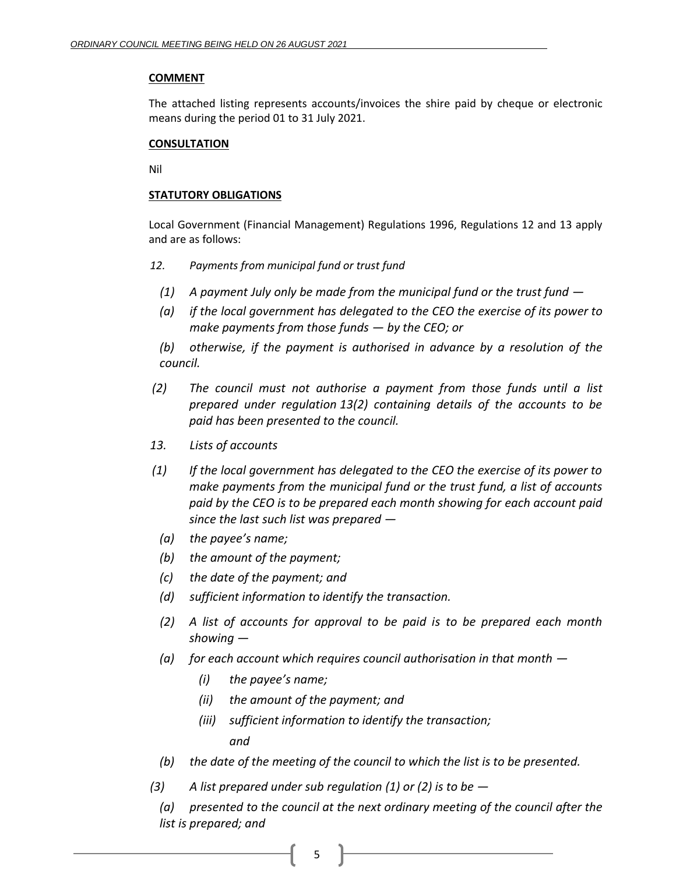## **COMMENT**

The attached listing represents accounts/invoices the shire paid by cheque or electronic means during the period 01 to 31 July 2021.

## **CONSULTATION**

Nil

## **STATUTORY OBLIGATIONS**

Local Government (Financial Management) Regulations 1996, Regulations 12 and 13 apply and are as follows:

- *12. Payments from municipal fund or trust fund*
	- *(1) A payment July only be made from the municipal fund or the trust fund —*
	- *(a) if the local government has delegated to the CEO the exercise of its power to make payments from those funds — by the CEO; or*

*(b) otherwise, if the payment is authorised in advance by a resolution of the council.*

- *(2) The council must not authorise a payment from those funds until a list prepared under regulation 13(2) containing details of the accounts to be paid has been presented to the council.*
- *13. Lists of accounts*
- *(1) If the local government has delegated to the CEO the exercise of its power to make payments from the municipal fund or the trust fund, a list of accounts paid by the CEO is to be prepared each month showing for each account paid since the last such list was prepared —*
	- *(a) the payee's name;*
	- *(b) the amount of the payment;*
	- *(c) the date of the payment; and*
	- *(d) sufficient information to identify the transaction.*
	- *(2) A list of accounts for approval to be paid is to be prepared each month showing —*
	- *(a) for each account which requires council authorisation in that month —*
		- *(i) the payee's name;*
		- *(ii) the amount of the payment; and*
		- *(iii) sufficient information to identify the transaction; and*
	- *(b) the date of the meeting of the council to which the list is to be presented.*
- *(3) A list prepared under sub regulation (1) or (2) is to be —*

*(a) presented to the council at the next ordinary meeting of the council after the list is prepared; and*

5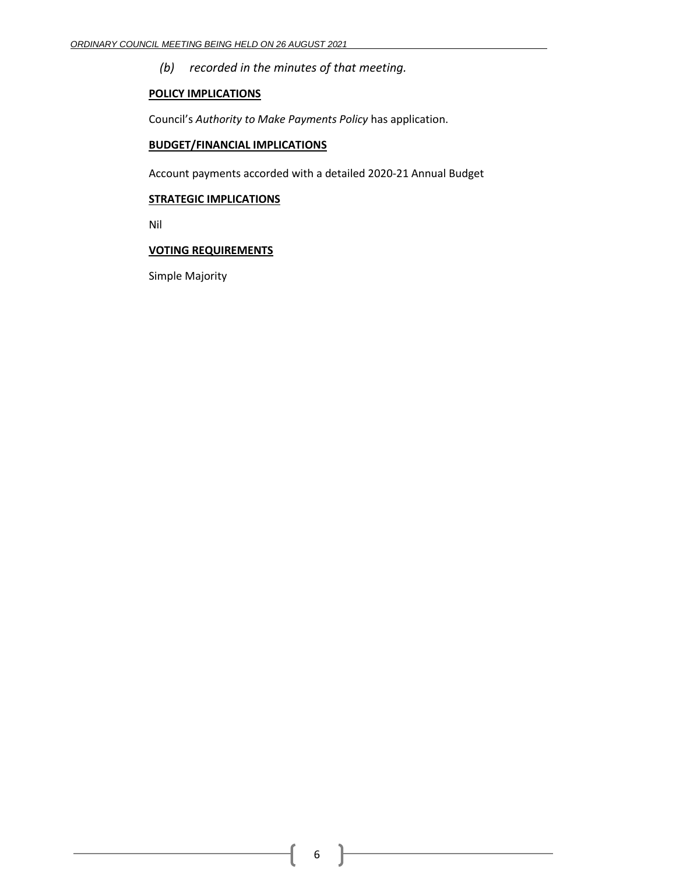*(b) recorded in the minutes of that meeting.*

## **POLICY IMPLICATIONS**

Council's *Authority to Make Payments Policy* has application.

## **BUDGET/FINANCIAL IMPLICATIONS**

Account payments accorded with a detailed 2020-21 Annual Budget

#### **STRATEGIC IMPLICATIONS**

Nil

## **VOTING REQUIREMENTS**

Simple Majority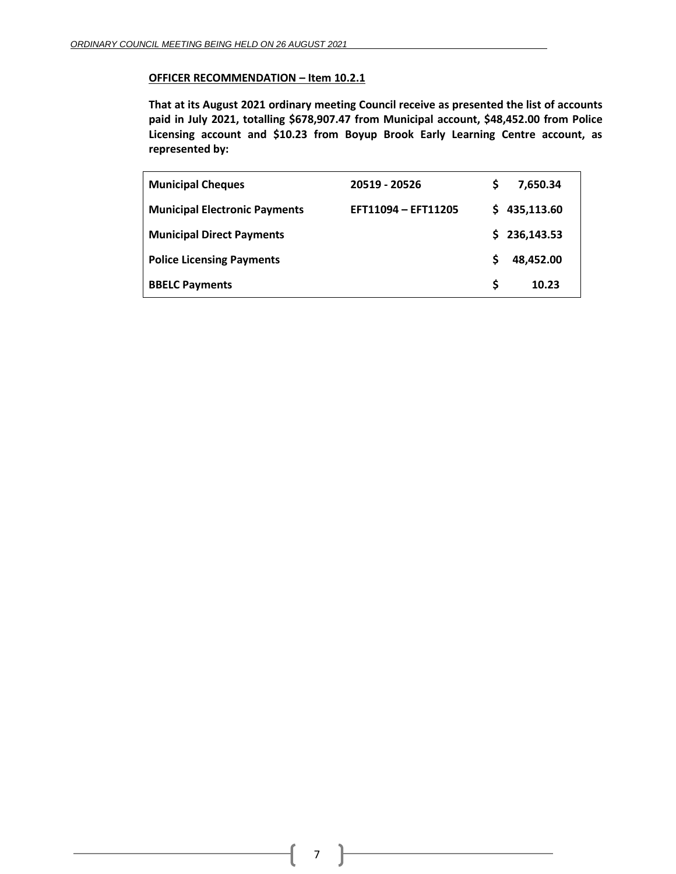#### **OFFICER RECOMMENDATION – Item 10.2.1**

**That at its August 2021 ordinary meeting Council receive as presented the list of accounts paid in July 2021, totalling \$678,907.47 from Municipal account, \$48,452.00 from Police Licensing account and \$10.23 from Boyup Brook Early Learning Centre account, as represented by:**

| <b>Municipal Cheques</b>             | 20519 - 20526       | S  | 7,650.34   |
|--------------------------------------|---------------------|----|------------|
| <b>Municipal Electronic Payments</b> | EFT11094 - EFT11205 | S. | 435,113.60 |
| <b>Municipal Direct Payments</b>     |                     | S. | 236,143.53 |
| <b>Police Licensing Payments</b>     |                     | S  | 48,452.00  |
| <b>BBELC Payments</b>                |                     | S  | 10.23      |

7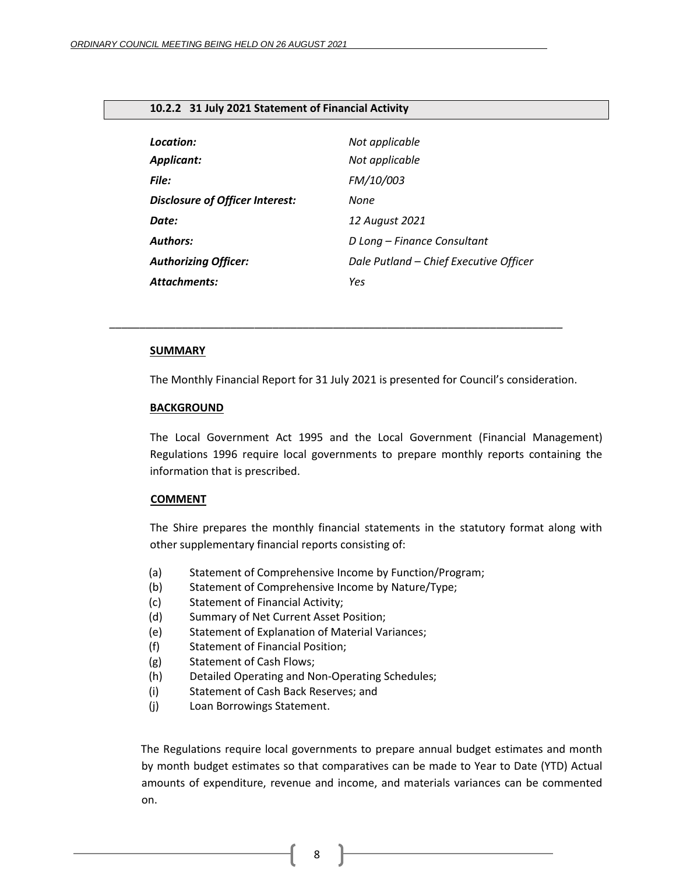#### <span id="page-7-0"></span>**10.2.2 31 July 2021 Statement of Financial Activity**

| Location:                              | Not applicable                         |
|----------------------------------------|----------------------------------------|
| <b>Applicant:</b>                      | Not applicable                         |
| File:                                  | FM/10/003                              |
| <b>Disclosure of Officer Interest:</b> | None                                   |
| Date:                                  | 12 August 2021                         |
| <b>Authors:</b>                        | D Long - Finance Consultant            |
| <b>Authorizing Officer:</b>            | Dale Putland - Chief Executive Officer |
| <b>Attachments:</b>                    | Yes                                    |

*\_\_\_\_\_\_\_\_\_\_\_\_\_\_\_\_\_\_\_\_\_\_\_\_\_\_\_\_\_\_\_\_\_\_\_\_\_\_\_\_\_\_\_\_\_\_\_\_\_\_\_\_\_\_\_\_\_\_\_\_\_\_\_\_\_\_\_\_\_\_\_\_\_\_\_*

#### **SUMMARY**

The Monthly Financial Report for 31 July 2021 is presented for Council's consideration.

#### **BACKGROUND**

The Local Government Act 1995 and the Local Government (Financial Management) Regulations 1996 require local governments to prepare monthly reports containing the information that is prescribed.

#### **COMMENT**

The Shire prepares the monthly financial statements in the statutory format along with other supplementary financial reports consisting of:

- (a) Statement of Comprehensive Income by Function/Program;
- (b) Statement of Comprehensive Income by Nature/Type;
- (c) Statement of Financial Activity;
- (d) Summary of Net Current Asset Position;
- (e) Statement of Explanation of Material Variances;
- (f) Statement of Financial Position;
- (g) Statement of Cash Flows;
- (h) Detailed Operating and Non-Operating Schedules;
- (i) Statement of Cash Back Reserves; and
- (j) Loan Borrowings Statement.

The Regulations require local governments to prepare annual budget estimates and month by month budget estimates so that comparatives can be made to Year to Date (YTD) Actual amounts of expenditure, revenue and income, and materials variances can be commented on.

8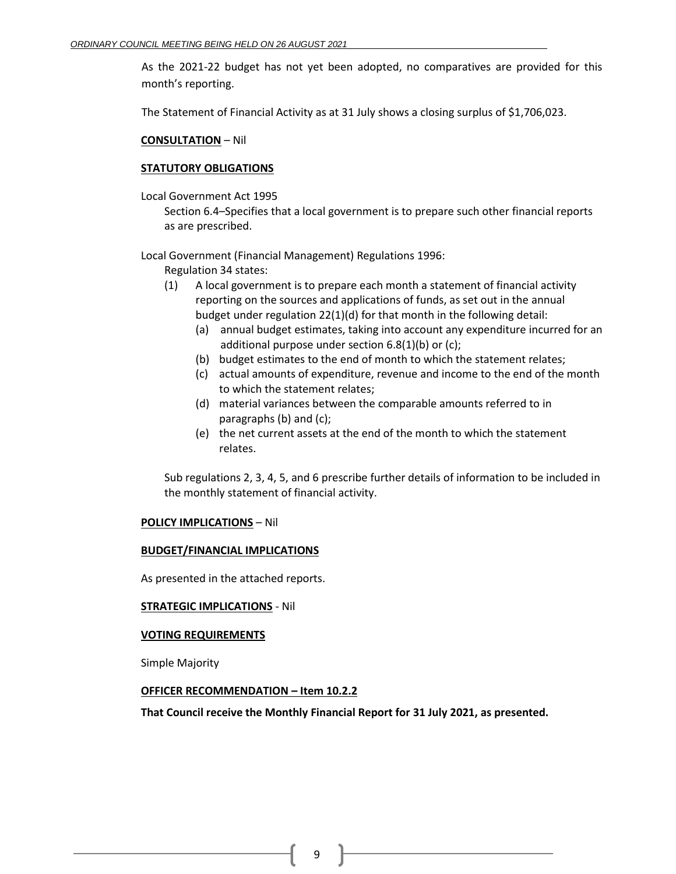As the 2021-22 budget has not yet been adopted, no comparatives are provided for this month's reporting.

The Statement of Financial Activity as at 31 July shows a closing surplus of \$1,706,023.

#### **CONSULTATION** – Nil

### **STATUTORY OBLIGATIONS**

Local Government Act 1995

Section 6.4–Specifies that a local government is to prepare such other financial reports as are prescribed.

Local Government (Financial Management) Regulations 1996:

- Regulation 34 states:
- (1) A local government is to prepare each month a statement of financial activity reporting on the sources and applications of funds, as set out in the annual budget under regulation 22(1)(d) for that month in the following detail:
	- (a) annual budget estimates, taking into account any expenditure incurred for an additional purpose under section 6.8(1)(b) or (c);
	- (b) budget estimates to the end of month to which the statement relates;
	- (c) actual amounts of expenditure, revenue and income to the end of the month to which the statement relates;
	- (d) material variances between the comparable amounts referred to in paragraphs (b) and (c);
	- (e) the net current assets at the end of the month to which the statement relates.

Sub regulations 2, 3, 4, 5, and 6 prescribe further details of information to be included in the monthly statement of financial activity.

## **POLICY IMPLICATIONS** – Nil

#### **BUDGET/FINANCIAL IMPLICATIONS**

As presented in the attached reports.

## **STRATEGIC IMPLICATIONS** - Nil

#### **VOTING REQUIREMENTS**

Simple Majority

#### **OFFICER RECOMMENDATION – Item 10.2.2**

**That Council receive the Monthly Financial Report for 31 July 2021, as presented.**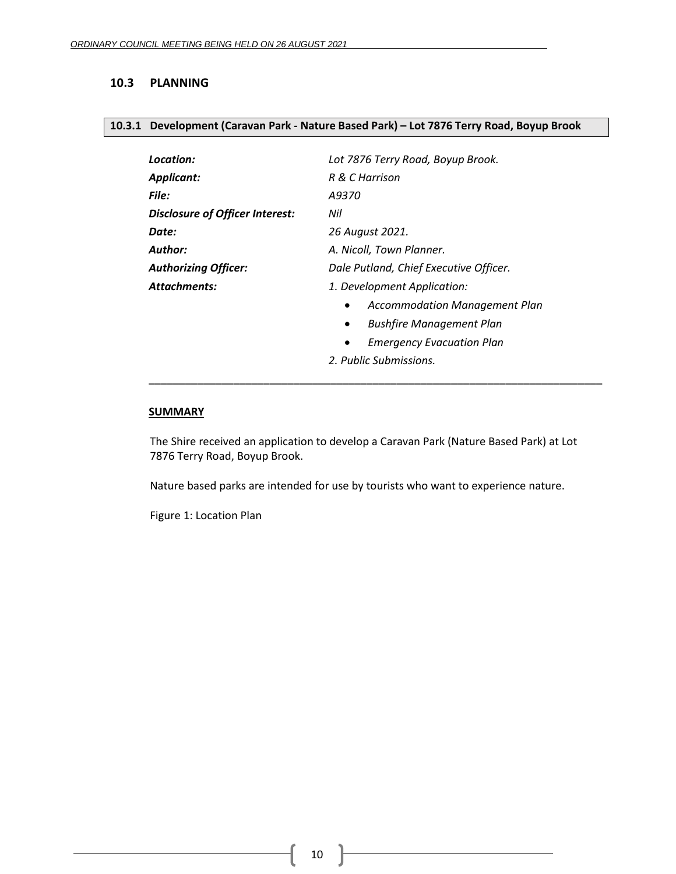### <span id="page-9-0"></span>**10.3 PLANNING**

#### <span id="page-9-1"></span>**10.3.1 Development (Caravan Park - Nature Based Park) – Lot 7876 Terry Road, Boyup Brook**

| Location:                       | Lot 7876 Terry Road, Boyup Brook.                 |  |  |  |
|---------------------------------|---------------------------------------------------|--|--|--|
| Applicant:                      | R & C Harrison                                    |  |  |  |
| File:                           | A9370                                             |  |  |  |
| Disclosure of Officer Interest: | Nil                                               |  |  |  |
| Date:                           | 26 August 2021.                                   |  |  |  |
| Author:                         | A. Nicoll, Town Planner.                          |  |  |  |
| <b>Authorizing Officer:</b>     | Dale Putland, Chief Executive Officer.            |  |  |  |
| Attachments:                    | 1. Development Application:                       |  |  |  |
|                                 | <b>Accommodation Management Plan</b><br>$\bullet$ |  |  |  |
|                                 | <b>Bushfire Management Plan</b><br>٠              |  |  |  |
|                                 | <b>Emergency Evacuation Plan</b><br>$\bullet$     |  |  |  |
|                                 | 2. Public Submissions.                            |  |  |  |

#### **SUMMARY**

The Shire received an application to develop a Caravan Park (Nature Based Park) at Lot 7876 Terry Road, Boyup Brook.

\_\_\_\_\_\_\_\_\_\_\_\_\_\_\_\_\_\_\_\_\_\_\_\_\_\_\_\_\_\_\_\_\_\_\_\_\_\_\_\_\_\_\_\_\_\_\_\_\_\_\_\_\_\_\_\_\_\_\_\_\_\_\_\_\_\_\_\_\_\_\_\_\_\_\_

Nature based parks are intended for use by tourists who want to experience nature.

Figure 1: Location Plan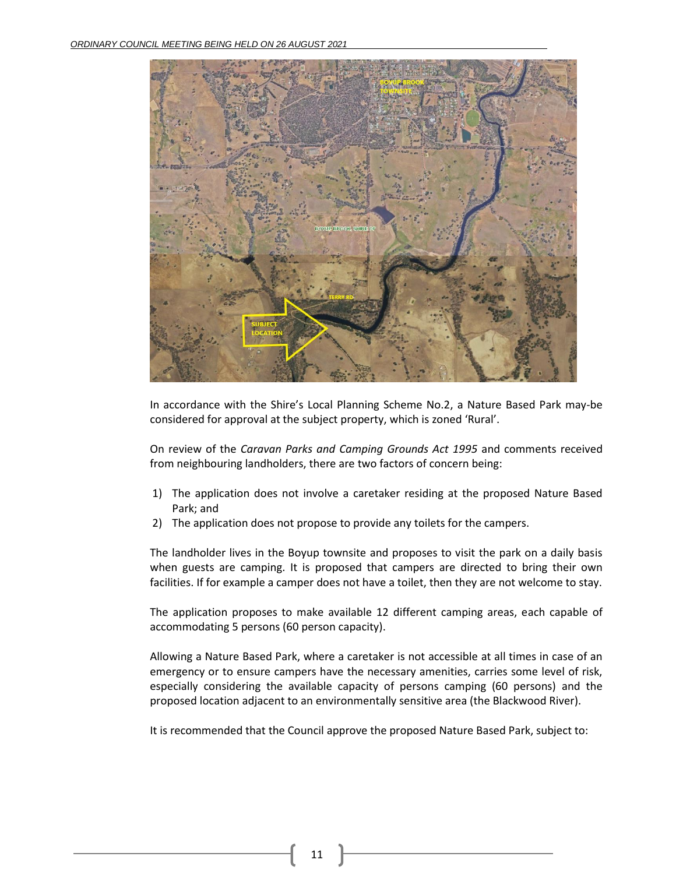

In accordance with the Shire's Local Planning Scheme No.2, a Nature Based Park may-be considered for approval at the subject property, which is zoned 'Rural'.

On review of the *Caravan Parks and Camping Grounds Act 1995* and comments received from neighbouring landholders, there are two factors of concern being:

- 1) The application does not involve a caretaker residing at the proposed Nature Based Park; and
- 2) The application does not propose to provide any toilets for the campers.

The landholder lives in the Boyup townsite and proposes to visit the park on a daily basis when guests are camping. It is proposed that campers are directed to bring their own facilities. If for example a camper does not have a toilet, then they are not welcome to stay.

The application proposes to make available 12 different camping areas, each capable of accommodating 5 persons (60 person capacity).

Allowing a Nature Based Park, where a caretaker is not accessible at all times in case of an emergency or to ensure campers have the necessary amenities, carries some level of risk, especially considering the available capacity of persons camping (60 persons) and the proposed location adjacent to an environmentally sensitive area (the Blackwood River).

It is recommended that the Council approve the proposed Nature Based Park, subject to: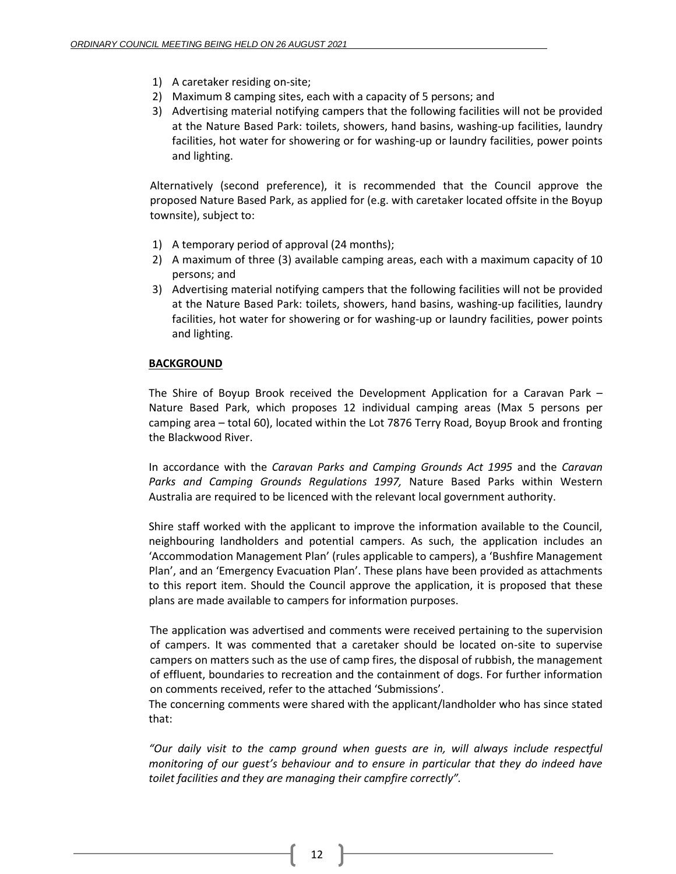- 1) A caretaker residing on-site;
- 2) Maximum 8 camping sites, each with a capacity of 5 persons; and
- 3) Advertising material notifying campers that the following facilities will not be provided at the Nature Based Park: toilets, showers, hand basins, washing-up facilities, laundry facilities, hot water for showering or for washing-up or laundry facilities, power points and lighting.

Alternatively (second preference), it is recommended that the Council approve the proposed Nature Based Park, as applied for (e.g. with caretaker located offsite in the Boyup townsite), subject to:

- 1) A temporary period of approval (24 months);
- 2) A maximum of three (3) available camping areas, each with a maximum capacity of 10 persons; and
- 3) Advertising material notifying campers that the following facilities will not be provided at the Nature Based Park: toilets, showers, hand basins, washing-up facilities, laundry facilities, hot water for showering or for washing-up or laundry facilities, power points and lighting.

## **BACKGROUND**

The Shire of Boyup Brook received the Development Application for a Caravan Park – Nature Based Park, which proposes 12 individual camping areas (Max 5 persons per camping area – total 60), located within the Lot 7876 Terry Road, Boyup Brook and fronting the Blackwood River.

In accordance with the *Caravan Parks and Camping Grounds Act 1995* and the *Caravan Parks and Camping Grounds Regulations 1997,* Nature Based Parks within Western Australia are required to be licenced with the relevant local government authority.

Shire staff worked with the applicant to improve the information available to the Council, neighbouring landholders and potential campers. As such, the application includes an 'Accommodation Management Plan' (rules applicable to campers), a 'Bushfire Management Plan', and an 'Emergency Evacuation Plan'. These plans have been provided as attachments to this report item. Should the Council approve the application, it is proposed that these plans are made available to campers for information purposes.

The application was advertised and comments were received pertaining to the supervision of campers. It was commented that a caretaker should be located on-site to supervise campers on matters such as the use of camp fires, the disposal of rubbish, the management of effluent, boundaries to recreation and the containment of dogs. For further information on comments received, refer to the attached 'Submissions'.

The concerning comments were shared with the applicant/landholder who has since stated that:

*"Our daily visit to the camp ground when guests are in, will always include respectful monitoring of our guest's behaviour and to ensure in particular that they do indeed have toilet facilities and they are managing their campfire correctly".*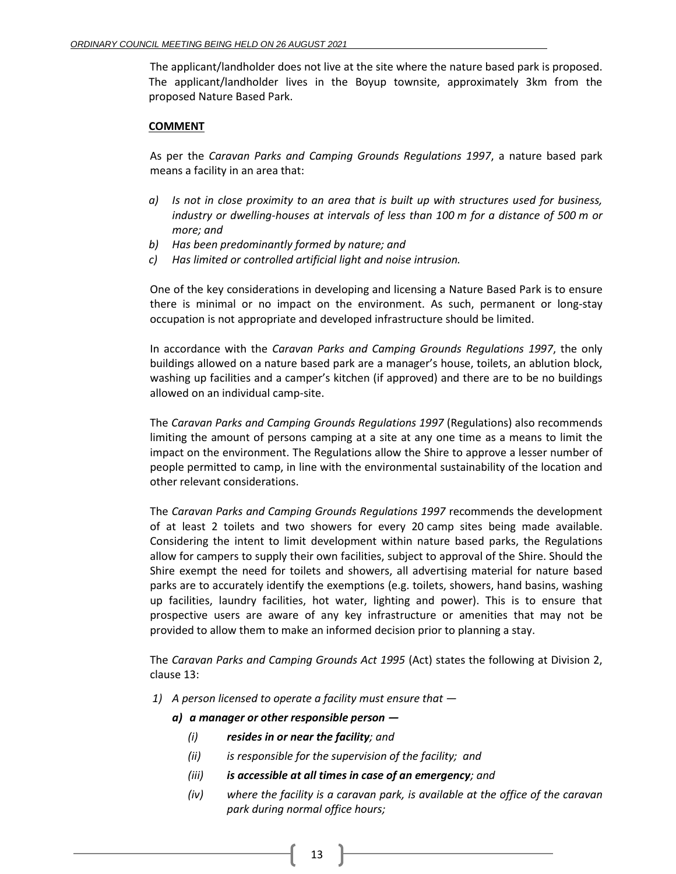The applicant/landholder does not live at the site where the nature based park is proposed. The applicant/landholder lives in the Boyup townsite, approximately 3km from the proposed Nature Based Park.

### **COMMENT**

As per the *Caravan Parks and Camping Grounds Regulations 1997*, a nature based park means a facility in an area that:

- *a) Is not in close proximity to an area that is built up with structures used for business, industry or dwelling-houses at intervals of less than 100 m for a distance of 500 m or more; and*
- *b) Has been predominantly formed by nature; and*
- *c) Has limited or controlled artificial light and noise intrusion.*

One of the key considerations in developing and licensing a Nature Based Park is to ensure there is minimal or no impact on the environment. As such, permanent or long-stay occupation is not appropriate and developed infrastructure should be limited.

In accordance with the *Caravan Parks and Camping Grounds Regulations 1997*, the only buildings allowed on a nature based park are a manager's house, toilets, an ablution block, washing up facilities and a camper's kitchen (if approved) and there are to be no buildings allowed on an individual camp-site.

The *Caravan Parks and Camping Grounds Regulations 1997* (Regulations) also recommends limiting the amount of persons camping at a site at any one time as a means to limit the impact on the environment. The Regulations allow the Shire to approve a lesser number of people permitted to camp, in line with the environmental sustainability of the location and other relevant considerations.

The *Caravan Parks and Camping Grounds Regulations 1997* recommends the development of at least 2 toilets and two showers for every 20 camp sites being made available. Considering the intent to limit development within nature based parks, the Regulations allow for campers to supply their own facilities, subject to approval of the Shire. Should the Shire exempt the need for toilets and showers, all advertising material for nature based parks are to accurately identify the exemptions (e.g. toilets, showers, hand basins, washing up facilities, laundry facilities, hot water, lighting and power). This is to ensure that prospective users are aware of any key infrastructure or amenities that may not be provided to allow them to make an informed decision prior to planning a stay.

The *Caravan Parks and Camping Grounds Act 1995* (Act) states the following at Division 2, clause 13:

- *1) A person licensed to operate a facility must ensure that* 
	- *a) a manager or other responsible person —*
		- *(i) resides in or near the facility; and*
		- *(ii) is responsible for the supervision of the facility; and*
		- *(iii) is accessible at all times in case of an emergency; and*
		- *(iv) where the facility is a caravan park, is available at the office of the caravan park during normal office hours;*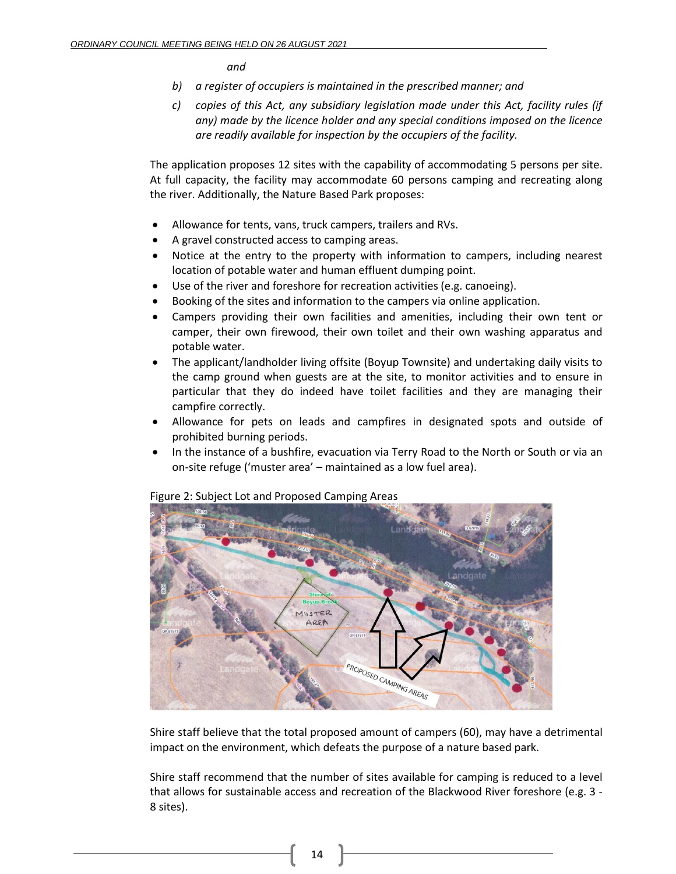*and*

- *b) a register of occupiers is maintained in the prescribed manner; and*
- *c) copies of this Act, any subsidiary legislation made under this Act, facility rules (if any) made by the licence holder and any special conditions imposed on the licence are readily available for inspection by the occupiers of the facility.*

The application proposes 12 sites with the capability of accommodating 5 persons per site. At full capacity, the facility may accommodate 60 persons camping and recreating along the river. Additionally, the Nature Based Park proposes:

- Allowance for tents, vans, truck campers, trailers and RVs.
- A gravel constructed access to camping areas.
- Notice at the entry to the property with information to campers, including nearest location of potable water and human effluent dumping point.
- Use of the river and foreshore for recreation activities (e.g. canoeing).
- Booking of the sites and information to the campers via online application.
- Campers providing their own facilities and amenities, including their own tent or camper, their own firewood, their own toilet and their own washing apparatus and potable water.
- The applicant/landholder living offsite (Boyup Townsite) and undertaking daily visits to the camp ground when guests are at the site, to monitor activities and to ensure in particular that they do indeed have toilet facilities and they are managing their campfire correctly.
- Allowance for pets on leads and campfires in designated spots and outside of prohibited burning periods.
- In the instance of a bushfire, evacuation via Terry Road to the North or South or via an on-site refuge ('muster area' – maintained as a low fuel area).



Figure 2: Subject Lot and Proposed Camping Areas

Shire staff believe that the total proposed amount of campers (60), may have a detrimental impact on the environment, which defeats the purpose of a nature based park.

Shire staff recommend that the number of sites available for camping is reduced to a level that allows for sustainable access and recreation of the Blackwood River foreshore (e.g. 3 - 8 sites).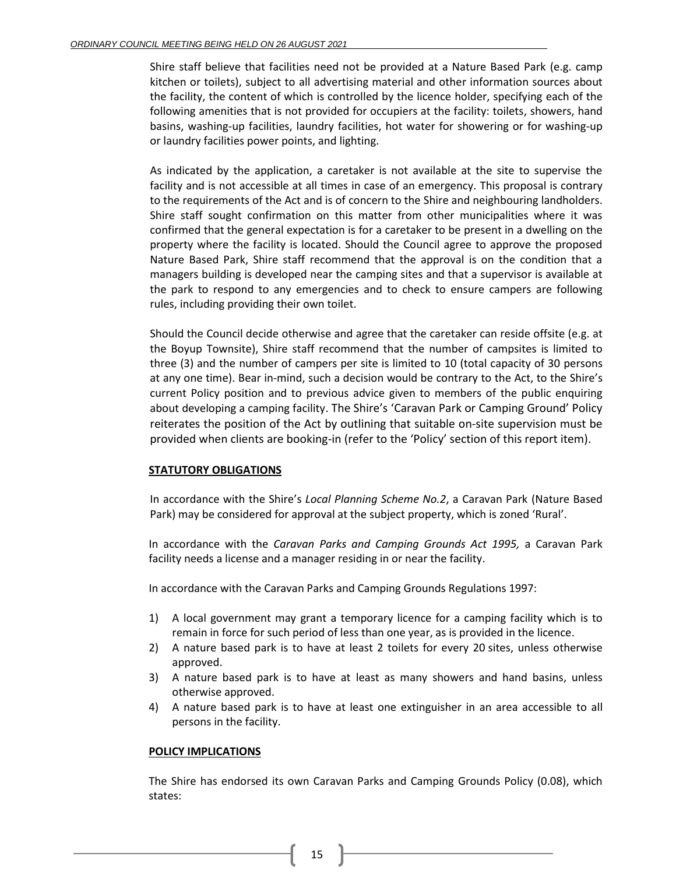Shire staff believe that facilities need not be provided at a Nature Based Park (e.g. camp kitchen or toilets), subject to all advertising material and other information sources about the facility, the content of which is controlled by the licence holder, specifying each of the following amenities that is not provided for occupiers at the facility: toilets, showers, hand basins, washing-up facilities, laundry facilities, hot water for showering or for washing-up or laundry facilities power points, and lighting.

As indicated by the application, a caretaker is not available at the site to supervise the facility and is not accessible at all times in case of an emergency. This proposal is contrary to the requirements of the Act and is of concern to the Shire and neighbouring landholders. Shire staff sought confirmation on this matter from other municipalities where it was confirmed that the general expectation is for a caretaker to be present in a dwelling on the property where the facility is located. Should the Council agree to approve the proposed Nature Based Park, Shire staff recommend that the approval is on the condition that a managers building is developed near the camping sites and that a supervisor is available at the park to respond to any emergencies and to check to ensure campers are following rules, including providing their own toilet.

Should the Council decide otherwise and agree that the caretaker can reside offsite (e.g. at the Boyup Townsite), Shire staff recommend that the number of campsites is limited to three (3) and the number of campers per site is limited to 10 (total capacity of 30 persons at any one time). Bear in-mind, such a decision would be contrary to the Act, to the Shire's current Policy position and to previous advice given to members of the public enquiring about developing a camping facility. The Shire's 'Caravan Park or Camping Ground' Policy reiterates the position of the Act by outlining that suitable on-site supervision must be provided when clients are booking-in (refer to the 'Policy' section of this report item).

## **STATUTORY OBLIGATIONS**

In accordance with the Shire's *Local Planning Scheme No.2*, a Caravan Park (Nature Based Park) may be considered for approval at the subject property, which is zoned 'Rural'.

In accordance with the *Caravan Parks and Camping Grounds Act 1995,* a Caravan Park facility needs a license and a manager residing in or near the facility.

In accordance with the Caravan Parks and Camping Grounds Regulations 1997:

- 1) A local government may grant a temporary licence for a camping facility which is to remain in force for such period of less than one year, as is provided in the licence.
- 2) A nature based park is to have at least 2 toilets for every 20 sites, unless otherwise approved.
- 3) A nature based park is to have at least as many showers and hand basins, unless otherwise approved.
- 4) A nature based park is to have at least one extinguisher in an area accessible to all persons in the facility.

## **POLICY IMPLICATIONS**

The Shire has endorsed its own Caravan Parks and Camping Grounds Policy (0.08), which states:

15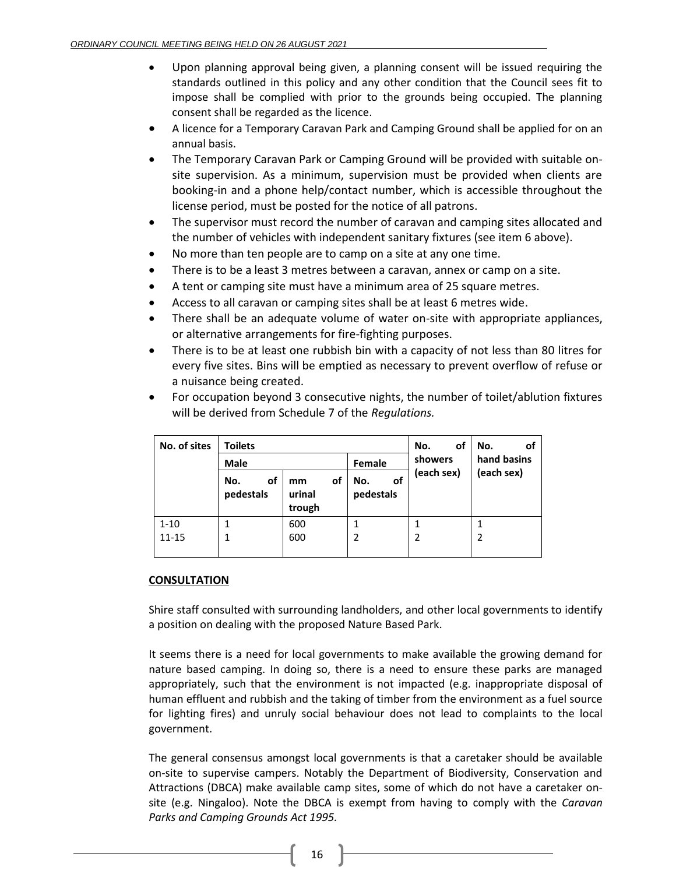- Upon planning approval being given, a planning consent will be issued requiring the standards outlined in this policy and any other condition that the Council sees fit to impose shall be complied with prior to the grounds being occupied. The planning consent shall be regarded as the licence.
- A licence for a Temporary Caravan Park and Camping Ground shall be applied for on an annual basis.
- The Temporary Caravan Park or Camping Ground will be provided with suitable onsite supervision. As a minimum, supervision must be provided when clients are booking-in and a phone help/contact number, which is accessible throughout the license period, must be posted for the notice of all patrons.
- The supervisor must record the number of caravan and camping sites allocated and the number of vehicles with independent sanitary fixtures (see item 6 above).
- No more than ten people are to camp on a site at any one time.
- There is to be a least 3 metres between a caravan, annex or camp on a site.
- A tent or camping site must have a minimum area of 25 square metres.
- Access to all caravan or camping sites shall be at least 6 metres wide.
- There shall be an adequate volume of water on-site with appropriate appliances, or alternative arrangements for fire-fighting purposes.
- There is to be at least one rubbish bin with a capacity of not less than 80 litres for every five sites. Bins will be emptied as necessary to prevent overflow of refuse or a nuisance being created.
- For occupation beyond 3 consecutive nights, the number of toilet/ablution fixtures will be derived from Schedule 7 of the *Regulations.*

| No. of sites | <b>Toilets</b>         |                              |                        | of<br>No.  | No.<br>οt   |
|--------------|------------------------|------------------------------|------------------------|------------|-------------|
|              | <b>Male</b>            |                              | Female                 | showers    | hand basins |
|              | οf<br>No.<br>pedestals | οf<br>mm<br>urinal<br>trough | No.<br>οf<br>pedestals | (each sex) | (each sex)  |
| $1 - 10$     | 1                      | 600                          | 1                      |            |             |
| $11 - 15$    | 1                      | 600                          | 2                      |            | 2           |
|              |                        |                              |                        |            |             |

#### **CONSULTATION**

Shire staff consulted with surrounding landholders, and other local governments to identify a position on dealing with the proposed Nature Based Park.

It seems there is a need for local governments to make available the growing demand for nature based camping. In doing so, there is a need to ensure these parks are managed appropriately, such that the environment is not impacted (e.g. inappropriate disposal of human effluent and rubbish and the taking of timber from the environment as a fuel source for lighting fires) and unruly social behaviour does not lead to complaints to the local government.

The general consensus amongst local governments is that a caretaker should be available on-site to supervise campers. Notably the Department of Biodiversity, Conservation and Attractions (DBCA) make available camp sites, some of which do not have a caretaker onsite (e.g. Ningaloo). Note the DBCA is exempt from having to comply with the *Caravan Parks and Camping Grounds Act 1995.*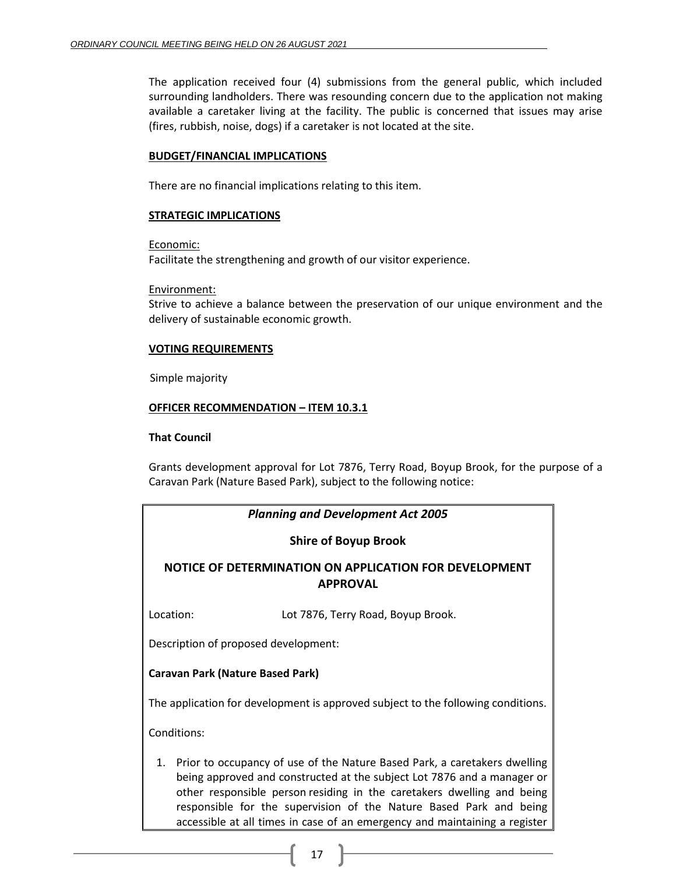The application received four (4) submissions from the general public, which included surrounding landholders. There was resounding concern due to the application not making available a caretaker living at the facility. The public is concerned that issues may arise (fires, rubbish, noise, dogs) if a caretaker is not located at the site.

### **BUDGET/FINANCIAL IMPLICATIONS**

There are no financial implications relating to this item.

### **STRATEGIC IMPLICATIONS**

Economic:

Facilitate the strengthening and growth of our visitor experience.

Environment:

Strive to achieve a balance between the preservation of our unique environment and the delivery of sustainable economic growth.

### **VOTING REQUIREMENTS**

Simple majority

### **OFFICER RECOMMENDATION – ITEM 10.3.1**

#### **That Council**

Grants development approval for Lot 7876, Terry Road, Boyup Brook, for the purpose of a Caravan Park (Nature Based Park), subject to the following notice:

| <b>Planning and Development Act 2005</b>                                                                                                                                                                                                                                                                                                                                              |                                         |  |  |
|---------------------------------------------------------------------------------------------------------------------------------------------------------------------------------------------------------------------------------------------------------------------------------------------------------------------------------------------------------------------------------------|-----------------------------------------|--|--|
| <b>Shire of Boyup Brook</b>                                                                                                                                                                                                                                                                                                                                                           |                                         |  |  |
| NOTICE OF DETERMINATION ON APPLICATION FOR DEVELOPMENT<br><b>APPROVAL</b>                                                                                                                                                                                                                                                                                                             |                                         |  |  |
| Location:                                                                                                                                                                                                                                                                                                                                                                             | Lot 7876, Terry Road, Boyup Brook.      |  |  |
| Description of proposed development:                                                                                                                                                                                                                                                                                                                                                  |                                         |  |  |
|                                                                                                                                                                                                                                                                                                                                                                                       | <b>Caravan Park (Nature Based Park)</b> |  |  |
| The application for development is approved subject to the following conditions.                                                                                                                                                                                                                                                                                                      |                                         |  |  |
| Conditions:                                                                                                                                                                                                                                                                                                                                                                           |                                         |  |  |
| 1. Prior to occupancy of use of the Nature Based Park, a caretakers dwelling<br>being approved and constructed at the subject Lot 7876 and a manager or<br>other responsible person residing in the caretakers dwelling and being<br>responsible for the supervision of the Nature Based Park and being<br>accessible at all times in case of an emergency and maintaining a register |                                         |  |  |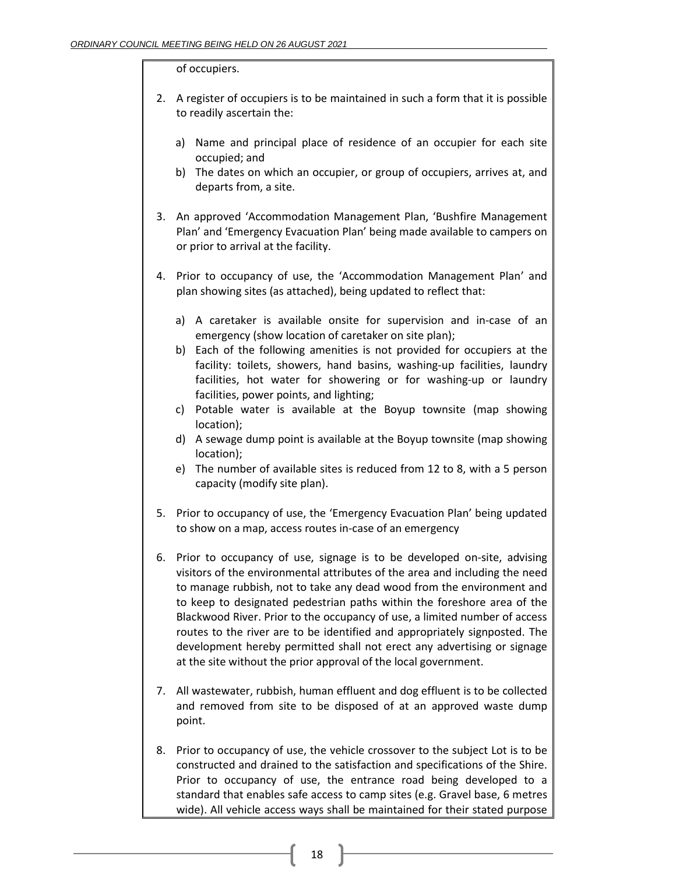#### of occupiers.

- 2. A register of occupiers is to be maintained in such a form that it is possible to readily ascertain the:
	- a) Name and principal place of residence of an occupier for each site occupied; and
	- b) The dates on which an occupier, or group of occupiers, arrives at, and departs from, a site.
- 3. An approved 'Accommodation Management Plan, 'Bushfire Management Plan' and 'Emergency Evacuation Plan' being made available to campers on or prior to arrival at the facility.
- 4. Prior to occupancy of use, the 'Accommodation Management Plan' and plan showing sites (as attached), being updated to reflect that:
	- a) A caretaker is available onsite for supervision and in-case of an emergency (show location of caretaker on site plan);
	- b) Each of the following amenities is not provided for occupiers at the facility: toilets, showers, hand basins, washing-up facilities, laundry facilities, hot water for showering or for washing-up or laundry facilities, power points, and lighting;
	- c) Potable water is available at the Boyup townsite (map showing location);
	- d) A sewage dump point is available at the Boyup townsite (map showing location);
	- e) The number of available sites is reduced from 12 to 8, with a 5 person capacity (modify site plan).
- 5. Prior to occupancy of use, the 'Emergency Evacuation Plan' being updated to show on a map, access routes in-case of an emergency
- 6. Prior to occupancy of use, signage is to be developed on-site, advising visitors of the environmental attributes of the area and including the need to manage rubbish, not to take any dead wood from the environment and to keep to designated pedestrian paths within the foreshore area of the Blackwood River. Prior to the occupancy of use, a limited number of access routes to the river are to be identified and appropriately signposted. The development hereby permitted shall not erect any advertising or signage at the site without the prior approval of the local government.
- 7. All wastewater, rubbish, human effluent and dog effluent is to be collected and removed from site to be disposed of at an approved waste dump point.
- 8. Prior to occupancy of use, the vehicle crossover to the subject Lot is to be constructed and drained to the satisfaction and specifications of the Shire. Prior to occupancy of use, the entrance road being developed to a standard that enables safe access to camp sites (e.g. Gravel base, 6 metres wide). All vehicle access ways shall be maintained for their stated purpose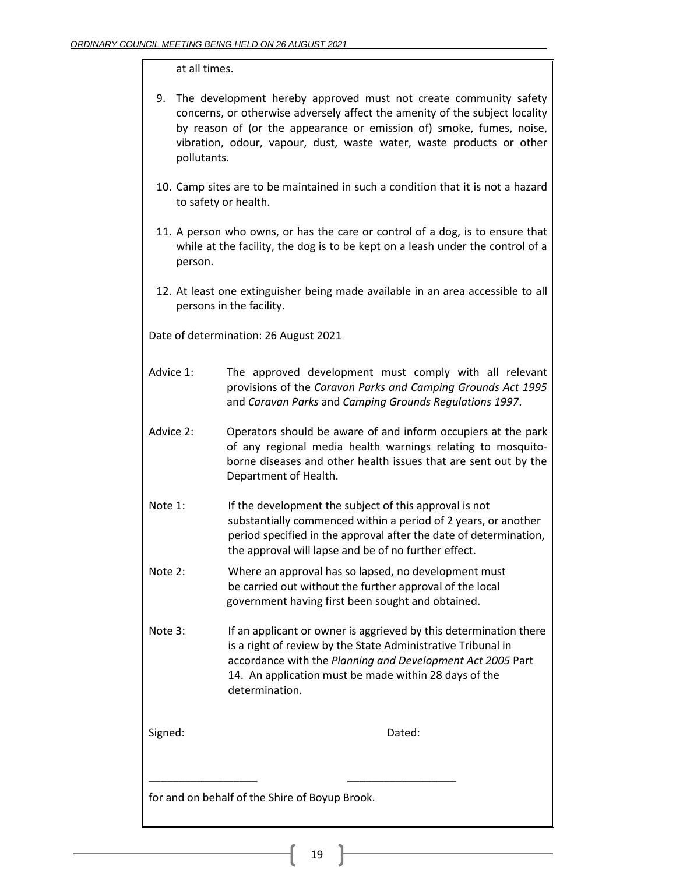### at all times.

| 9. The development hereby approved must not create community safety         |
|-----------------------------------------------------------------------------|
| concerns, or otherwise adversely affect the amenity of the subject locality |
| by reason of (or the appearance or emission of) smoke, fumes, noise,        |
| vibration, odour, vapour, dust, waste water, waste products or other        |
| pollutants.                                                                 |

- 10. Camp sites are to be maintained in such a condition that it is not a hazard to safety or health.
- 11. A person who owns, or has the care or control of a dog, is to ensure that while at the facility, the dog is to be kept on a leash under the control of a person.
- 12. At least one extinguisher being made available in an area accessible to all persons in the facility.

Date of determination: 26 August 2021

- Advice 1: The approved development must comply with all relevant provisions of the *Caravan Parks and Camping Grounds Act 1995* and *Caravan Parks* and *Camping Grounds Regulations 1997*.
- Advice 2: Operators should be aware of and inform occupiers at the park of any regional media health warnings relating to mosquitoborne diseases and other health issues that are sent out by the Department of Health.
- Note 1: If the development the subject of this approval is not substantially commenced within a period of 2 years, or another period specified in the approval after the date of determination, the approval will lapse and be of no further effect.
- Note 2: Where an approval has so lapsed, no development must be carried out without the further approval of the local government having first been sought and obtained.
- Note 3: If an applicant or owner is aggrieved by this determination there is a right of review by the State Administrative Tribunal in accordance with the *Planning and Development Act 2005* Part 14. An application must be made within 28 days of the determination.

Signed: **Dated:** Dated:

for and on behalf of the Shire of Boyup Brook.

\_\_\_\_\_\_\_\_\_\_\_\_\_\_\_\_\_\_ \_\_\_\_\_\_\_\_\_\_\_\_\_\_\_\_\_\_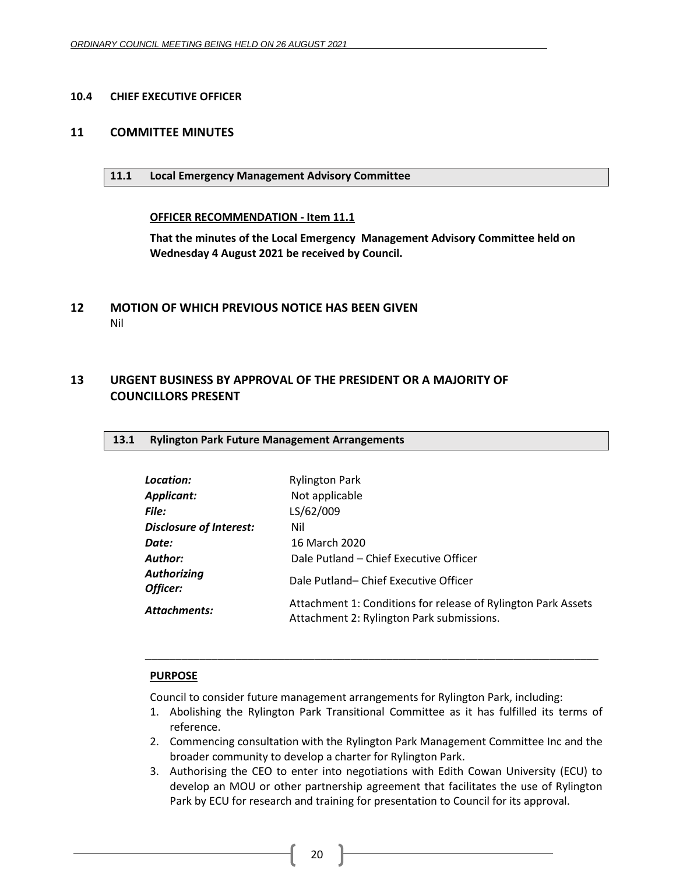#### <span id="page-19-0"></span>**10.4 CHIEF EXECUTIVE OFFICER**

#### <span id="page-19-2"></span><span id="page-19-1"></span>**11 COMMITTEE MINUTES**

#### **11.1 Local Emergency Management Advisory Committee**

#### **OFFICER RECOMMENDATION - Item 11.1**

**That the minutes of the Local Emergency Management Advisory Committee held on Wednesday 4 August 2021 be received by Council.**

<span id="page-19-3"></span>**12 MOTION OF WHICH PREVIOUS NOTICE HAS BEEN GIVEN** Nil

## <span id="page-19-5"></span><span id="page-19-4"></span>**13 URGENT BUSINESS BY APPROVAL OF THE PRESIDENT OR A MAJORITY OF COUNCILLORS PRESENT**

#### <span id="page-19-6"></span>**13.1 Rylington Park Future Management Arrangements**

| Location:                      | <b>Rylington Park</b>                                                                                      |
|--------------------------------|------------------------------------------------------------------------------------------------------------|
| Applicant:                     | Not applicable                                                                                             |
| File:                          | LS/62/009                                                                                                  |
| <b>Disclosure of Interest:</b> | Nil                                                                                                        |
| Date:                          | 16 March 2020                                                                                              |
| <b>Author:</b>                 | Dale Putland - Chief Executive Officer                                                                     |
| <b>Authorizing</b><br>Officer: | Dale Putland-Chief Executive Officer                                                                       |
| Attachments:                   | Attachment 1: Conditions for release of Rylington Park Assets<br>Attachment 2: Rylington Park submissions. |

#### **PURPOSE**

Council to consider future management arrangements for Rylington Park, including:

1. Abolishing the Rylington Park Transitional Committee as it has fulfilled its terms of reference.

\_\_\_\_\_\_\_\_\_\_\_\_\_\_\_\_\_\_\_\_\_\_\_\_\_\_\_\_\_\_\_\_\_\_\_\_\_\_\_\_\_\_\_\_\_\_\_\_\_\_\_\_\_\_\_\_\_\_\_\_\_\_\_\_\_\_\_\_\_\_\_\_\_\_\_

- 2. Commencing consultation with the Rylington Park Management Committee Inc and the broader community to develop a charter for Rylington Park.
- 3. Authorising the CEO to enter into negotiations with Edith Cowan University (ECU) to develop an MOU or other partnership agreement that facilitates the use of Rylington Park by ECU for research and training for presentation to Council for its approval.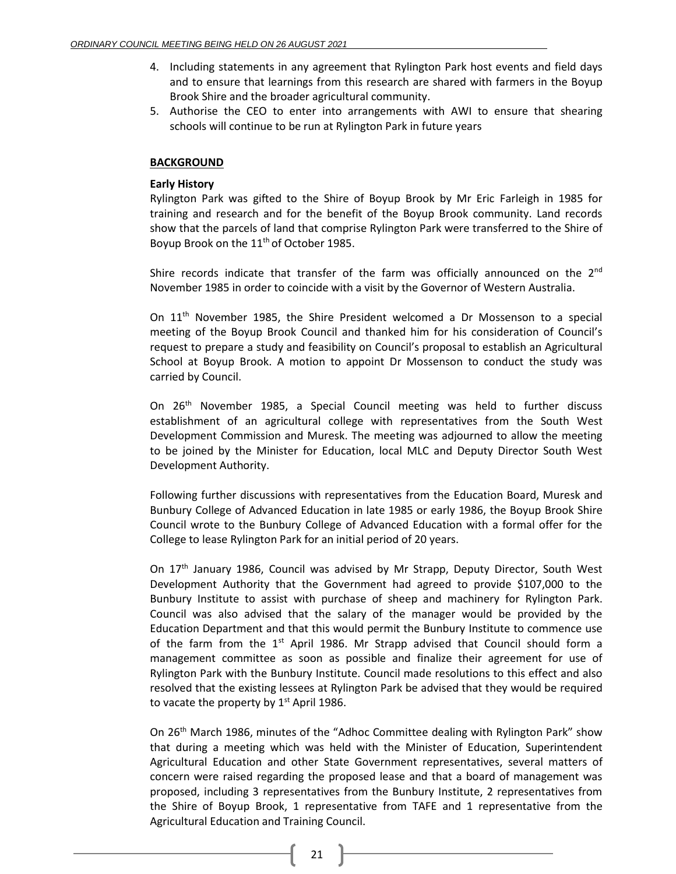- 4. Including statements in any agreement that Rylington Park host events and field days and to ensure that learnings from this research are shared with farmers in the Boyup Brook Shire and the broader agricultural community.
- 5. Authorise the CEO to enter into arrangements with AWI to ensure that shearing schools will continue to be run at Rylington Park in future years

### **BACKGROUND**

### **Early History**

Rylington Park was gifted to the Shire of Boyup Brook by Mr Eric Farleigh in 1985 for training and research and for the benefit of the Boyup Brook community. Land records show that the parcels of land that comprise Rylington Park were transferred to the Shire of Boyup Brook on the 11<sup>th</sup> of October 1985.

Shire records indicate that transfer of the farm was officially announced on the  $2<sup>nd</sup>$ November 1985 in order to coincide with a visit by the Governor of Western Australia.

On 11<sup>th</sup> November 1985, the Shire President welcomed a Dr Mossenson to a special meeting of the Boyup Brook Council and thanked him for his consideration of Council's request to prepare a study and feasibility on Council's proposal to establish an Agricultural School at Boyup Brook. A motion to appoint Dr Mossenson to conduct the study was carried by Council.

On 26<sup>th</sup> November 1985, a Special Council meeting was held to further discuss establishment of an agricultural college with representatives from the South West Development Commission and Muresk. The meeting was adjourned to allow the meeting to be joined by the Minister for Education, local MLC and Deputy Director South West Development Authority.

Following further discussions with representatives from the Education Board, Muresk and Bunbury College of Advanced Education in late 1985 or early 1986, the Boyup Brook Shire Council wrote to the Bunbury College of Advanced Education with a formal offer for the College to lease Rylington Park for an initial period of 20 years.

On 17th January 1986, Council was advised by Mr Strapp, Deputy Director, South West Development Authority that the Government had agreed to provide \$107,000 to the Bunbury Institute to assist with purchase of sheep and machinery for Rylington Park. Council was also advised that the salary of the manager would be provided by the Education Department and that this would permit the Bunbury Institute to commence use of the farm from the  $1<sup>st</sup>$  April 1986. Mr Strapp advised that Council should form a management committee as soon as possible and finalize their agreement for use of Rylington Park with the Bunbury Institute. Council made resolutions to this effect and also resolved that the existing lessees at Rylington Park be advised that they would be required to vacate the property by  $1<sup>st</sup>$  April 1986.

On 26th March 1986, minutes of the "Adhoc Committee dealing with Rylington Park" show that during a meeting which was held with the Minister of Education, Superintendent Agricultural Education and other State Government representatives, several matters of concern were raised regarding the proposed lease and that a board of management was proposed, including 3 representatives from the Bunbury Institute, 2 representatives from the Shire of Boyup Brook, 1 representative from TAFE and 1 representative from the Agricultural Education and Training Council.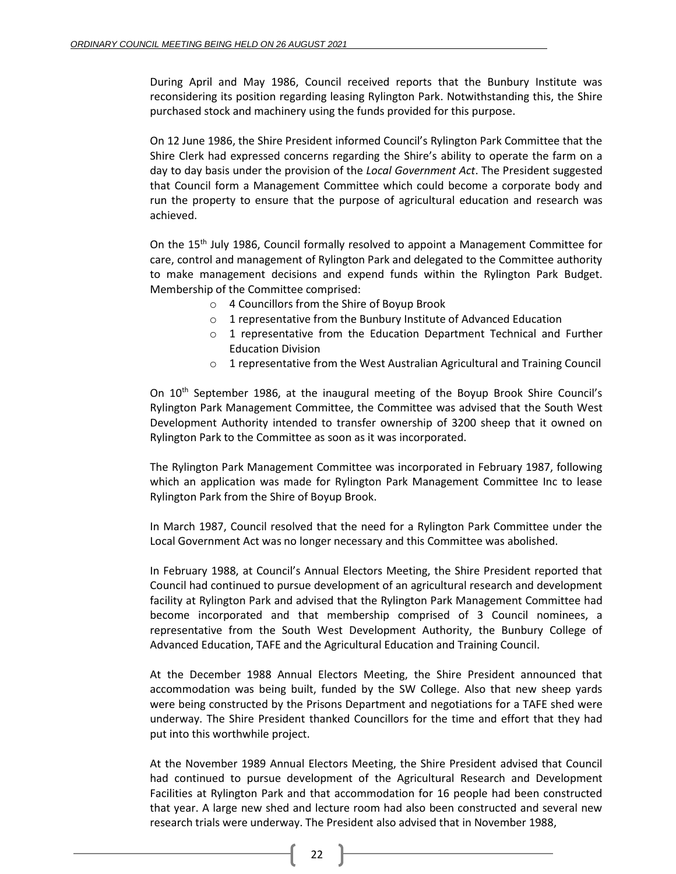During April and May 1986, Council received reports that the Bunbury Institute was reconsidering its position regarding leasing Rylington Park. Notwithstanding this, the Shire purchased stock and machinery using the funds provided for this purpose.

On 12 June 1986, the Shire President informed Council's Rylington Park Committee that the Shire Clerk had expressed concerns regarding the Shire's ability to operate the farm on a day to day basis under the provision of the *Local Government Act*. The President suggested that Council form a Management Committee which could become a corporate body and run the property to ensure that the purpose of agricultural education and research was achieved.

On the  $15<sup>th</sup>$  July 1986, Council formally resolved to appoint a Management Committee for care, control and management of Rylington Park and delegated to the Committee authority to make management decisions and expend funds within the Rylington Park Budget. Membership of the Committee comprised:

- o 4 Councillors from the Shire of Boyup Brook
- o 1 representative from the Bunbury Institute of Advanced Education
- o 1 representative from the Education Department Technical and Further Education Division
- o 1 representative from the West Australian Agricultural and Training Council

On 10<sup>th</sup> September 1986, at the inaugural meeting of the Boyup Brook Shire Council's Rylington Park Management Committee, the Committee was advised that the South West Development Authority intended to transfer ownership of 3200 sheep that it owned on Rylington Park to the Committee as soon as it was incorporated.

The Rylington Park Management Committee was incorporated in February 1987, following which an application was made for Rylington Park Management Committee Inc to lease Rylington Park from the Shire of Boyup Brook.

In March 1987, Council resolved that the need for a Rylington Park Committee under the Local Government Act was no longer necessary and this Committee was abolished.

In February 1988, at Council's Annual Electors Meeting, the Shire President reported that Council had continued to pursue development of an agricultural research and development facility at Rylington Park and advised that the Rylington Park Management Committee had become incorporated and that membership comprised of 3 Council nominees, a representative from the South West Development Authority, the Bunbury College of Advanced Education, TAFE and the Agricultural Education and Training Council.

At the December 1988 Annual Electors Meeting, the Shire President announced that accommodation was being built, funded by the SW College. Also that new sheep yards were being constructed by the Prisons Department and negotiations for a TAFE shed were underway. The Shire President thanked Councillors for the time and effort that they had put into this worthwhile project.

At the November 1989 Annual Electors Meeting, the Shire President advised that Council had continued to pursue development of the Agricultural Research and Development Facilities at Rylington Park and that accommodation for 16 people had been constructed that year. A large new shed and lecture room had also been constructed and several new research trials were underway. The President also advised that in November 1988,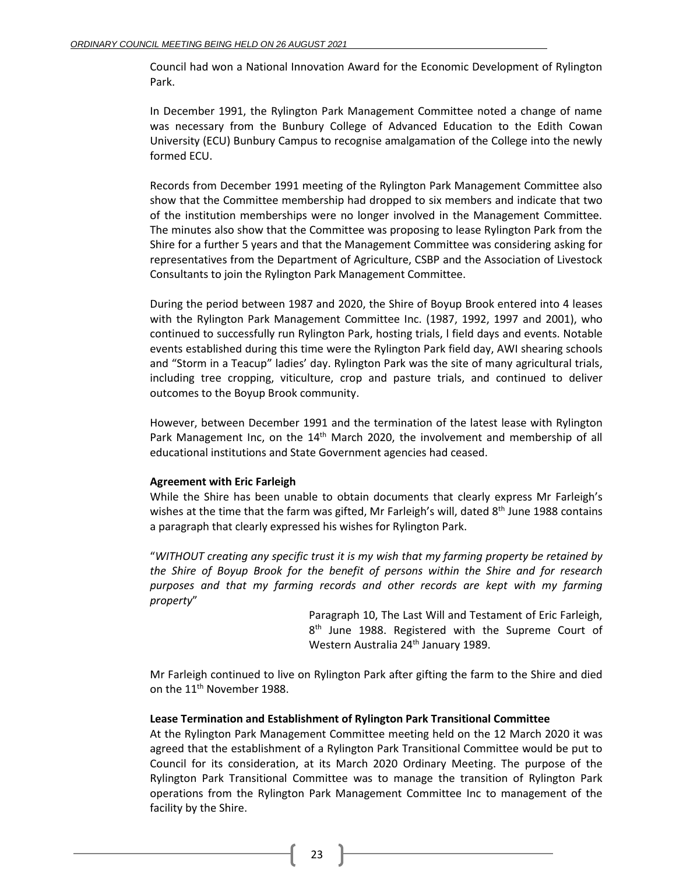Council had won a National Innovation Award for the Economic Development of Rylington Park.

In December 1991, the Rylington Park Management Committee noted a change of name was necessary from the Bunbury College of Advanced Education to the Edith Cowan University (ECU) Bunbury Campus to recognise amalgamation of the College into the newly formed ECU.

Records from December 1991 meeting of the Rylington Park Management Committee also show that the Committee membership had dropped to six members and indicate that two of the institution memberships were no longer involved in the Management Committee. The minutes also show that the Committee was proposing to lease Rylington Park from the Shire for a further 5 years and that the Management Committee was considering asking for representatives from the Department of Agriculture, CSBP and the Association of Livestock Consultants to join the Rylington Park Management Committee.

During the period between 1987 and 2020, the Shire of Boyup Brook entered into 4 leases with the Rylington Park Management Committee Inc. (1987, 1992, 1997 and 2001), who continued to successfully run Rylington Park, hosting trials, l field days and events. Notable events established during this time were the Rylington Park field day, AWI shearing schools and "Storm in a Teacup" ladies' day. Rylington Park was the site of many agricultural trials, including tree cropping, viticulture, crop and pasture trials, and continued to deliver outcomes to the Boyup Brook community.

However, between December 1991 and the termination of the latest lease with Rylington Park Management Inc, on the  $14<sup>th</sup>$  March 2020, the involvement and membership of all educational institutions and State Government agencies had ceased.

## **Agreement with Eric Farleigh**

While the Shire has been unable to obtain documents that clearly express Mr Farleigh's wishes at the time that the farm was gifted, Mr Farleigh's will, dated  $8<sup>th</sup>$  June 1988 contains a paragraph that clearly expressed his wishes for Rylington Park.

"*WITHOUT creating any specific trust it is my wish that my farming property be retained by the Shire of Boyup Brook for the benefit of persons within the Shire and for research purposes and that my farming records and other records are kept with my farming property*"

> Paragraph 10, The Last Will and Testament of Eric Farleigh, 8<sup>th</sup> June 1988. Registered with the Supreme Court of Western Australia 24<sup>th</sup> January 1989.

Mr Farleigh continued to live on Rylington Park after gifting the farm to the Shire and died on the 11<sup>th</sup> November 1988.

## **Lease Termination and Establishment of Rylington Park Transitional Committee**

At the Rylington Park Management Committee meeting held on the 12 March 2020 it was agreed that the establishment of a Rylington Park Transitional Committee would be put to Council for its consideration, at its March 2020 Ordinary Meeting. The purpose of the Rylington Park Transitional Committee was to manage the transition of Rylington Park operations from the Rylington Park Management Committee Inc to management of the facility by the Shire.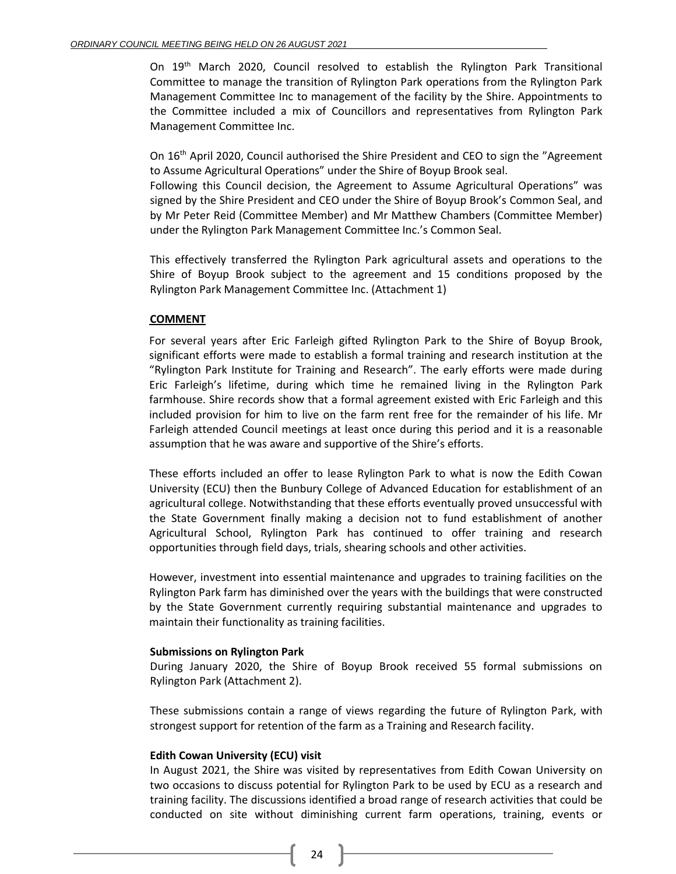On 19<sup>th</sup> March 2020, Council resolved to establish the Rylington Park Transitional Committee to manage the transition of Rylington Park operations from the Rylington Park Management Committee Inc to management of the facility by the Shire. Appointments to the Committee included a mix of Councillors and representatives from Rylington Park Management Committee Inc.

On 16th April 2020, Council authorised the Shire President and CEO to sign the "Agreement to Assume Agricultural Operations" under the Shire of Boyup Brook seal.

Following this Council decision, the Agreement to Assume Agricultural Operations" was signed by the Shire President and CEO under the Shire of Boyup Brook's Common Seal, and by Mr Peter Reid (Committee Member) and Mr Matthew Chambers (Committee Member) under the Rylington Park Management Committee Inc.'s Common Seal.

This effectively transferred the Rylington Park agricultural assets and operations to the Shire of Boyup Brook subject to the agreement and 15 conditions proposed by the Rylington Park Management Committee Inc. (Attachment 1)

### **COMMENT**

For several years after Eric Farleigh gifted Rylington Park to the Shire of Boyup Brook, significant efforts were made to establish a formal training and research institution at the "Rylington Park Institute for Training and Research". The early efforts were made during Eric Farleigh's lifetime, during which time he remained living in the Rylington Park farmhouse. Shire records show that a formal agreement existed with Eric Farleigh and this included provision for him to live on the farm rent free for the remainder of his life. Mr Farleigh attended Council meetings at least once during this period and it is a reasonable assumption that he was aware and supportive of the Shire's efforts.

These efforts included an offer to lease Rylington Park to what is now the Edith Cowan University (ECU) then the Bunbury College of Advanced Education for establishment of an agricultural college. Notwithstanding that these efforts eventually proved unsuccessful with the State Government finally making a decision not to fund establishment of another Agricultural School, Rylington Park has continued to offer training and research opportunities through field days, trials, shearing schools and other activities.

However, investment into essential maintenance and upgrades to training facilities on the Rylington Park farm has diminished over the years with the buildings that were constructed by the State Government currently requiring substantial maintenance and upgrades to maintain their functionality as training facilities.

#### **Submissions on Rylington Park**

During January 2020, the Shire of Boyup Brook received 55 formal submissions on Rylington Park (Attachment 2).

These submissions contain a range of views regarding the future of Rylington Park, with strongest support for retention of the farm as a Training and Research facility.

#### **Edith Cowan University (ECU) visit**

In August 2021, the Shire was visited by representatives from Edith Cowan University on two occasions to discuss potential for Rylington Park to be used by ECU as a research and training facility. The discussions identified a broad range of research activities that could be conducted on site without diminishing current farm operations, training, events or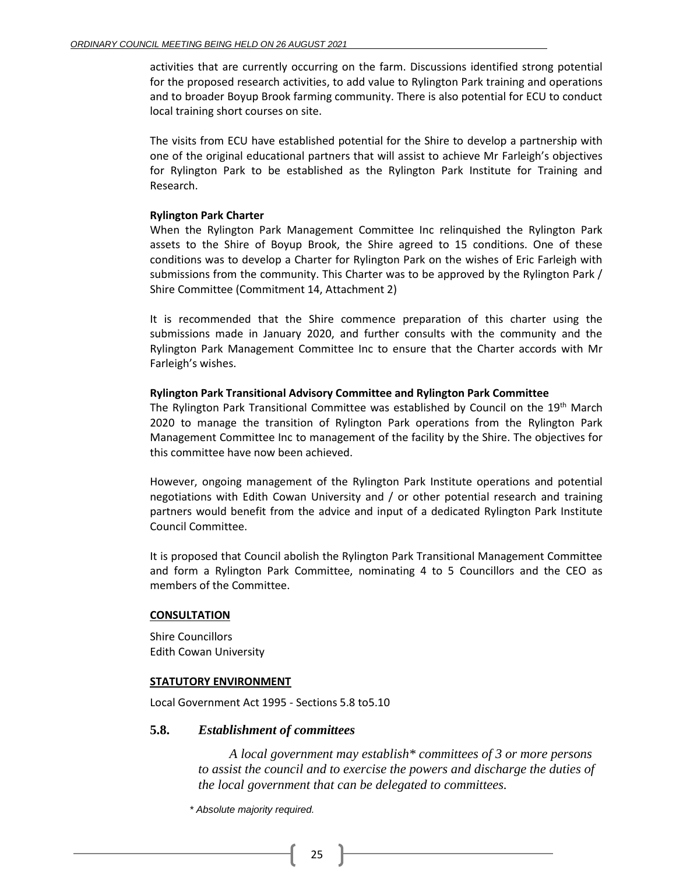activities that are currently occurring on the farm. Discussions identified strong potential for the proposed research activities, to add value to Rylington Park training and operations and to broader Boyup Brook farming community. There is also potential for ECU to conduct local training short courses on site.

The visits from ECU have established potential for the Shire to develop a partnership with one of the original educational partners that will assist to achieve Mr Farleigh's objectives for Rylington Park to be established as the Rylington Park Institute for Training and Research.

#### **Rylington Park Charter**

When the Rylington Park Management Committee Inc relinquished the Rylington Park assets to the Shire of Boyup Brook, the Shire agreed to 15 conditions. One of these conditions was to develop a Charter for Rylington Park on the wishes of Eric Farleigh with submissions from the community. This Charter was to be approved by the Rylington Park / Shire Committee (Commitment 14, Attachment 2)

It is recommended that the Shire commence preparation of this charter using the submissions made in January 2020, and further consults with the community and the Rylington Park Management Committee Inc to ensure that the Charter accords with Mr Farleigh's wishes.

### **Rylington Park Transitional Advisory Committee and Rylington Park Committee**

The Rylington Park Transitional Committee was established by Council on the 19<sup>th</sup> March 2020 to manage the transition of Rylington Park operations from the Rylington Park Management Committee Inc to management of the facility by the Shire. The objectives for this committee have now been achieved.

However, ongoing management of the Rylington Park Institute operations and potential negotiations with Edith Cowan University and / or other potential research and training partners would benefit from the advice and input of a dedicated Rylington Park Institute Council Committee.

It is proposed that Council abolish the Rylington Park Transitional Management Committee and form a Rylington Park Committee, nominating 4 to 5 Councillors and the CEO as members of the Committee.

#### **CONSULTATION**

Shire Councillors Edith Cowan University

#### **STATUTORY ENVIRONMENT**

Local Government Act 1995 - Sections 5.8 to5.10

## **5.8.** *Establishment of committees*

*A local government may establish\* committees of 3 or more persons to assist the council and to exercise the powers and discharge the duties of the local government that can be delegated to committees.*

*\* Absolute majority required.*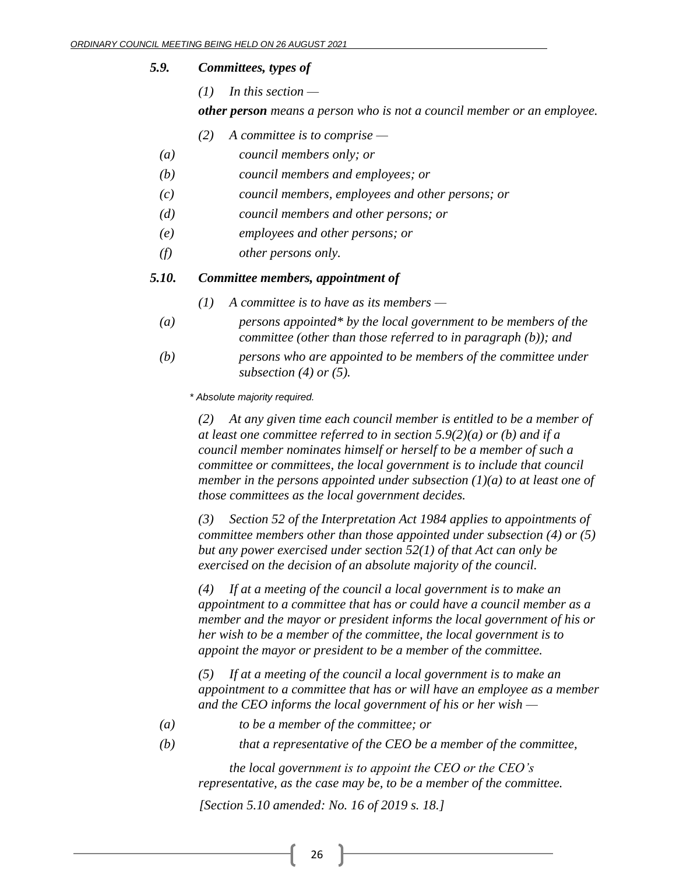### *5.9. Committees, types of*

*(1) In this section —*

*other person means a person who is not a council member or an employee.*

- *(2) A committee is to comprise —*
- *(a) council members only; or*
- *(b) council members and employees; or*
- *(c) council members, employees and other persons; or*
- *(d) council members and other persons; or*
- *(e) employees and other persons; or*
- *(f) other persons only.*

## *5.10. Committee members, appointment of*

- *(1) A committee is to have as its members —*
- *(a) persons appointed\* by the local government to be members of the committee (other than those referred to in paragraph (b)); and*
- *(b) persons who are appointed to be members of the committee under subsection (4) or (5).*

*\* Absolute majority required.*

*(2) At any given time each council member is entitled to be a member of at least one committee referred to in section 5.9(2)(a) or (b) and if a council member nominates himself or herself to be a member of such a committee or committees, the local government is to include that council member in the persons appointed under subsection (1)(a) to at least one of those committees as the local government decides.*

*(3) Section 52 of the Interpretation Act 1984 applies to appointments of committee members other than those appointed under subsection (4) or (5) but any power exercised under section 52(1) of that Act can only be exercised on the decision of an absolute majority of the council.*

*(4) If at a meeting of the council a local government is to make an appointment to a committee that has or could have a council member as a member and the mayor or president informs the local government of his or her wish to be a member of the committee, the local government is to appoint the mayor or president to be a member of the committee.* 

*(5) If at a meeting of the council a local government is to make an appointment to a committee that has or will have an employee as a member and the CEO informs the local government of his or her wish —*

- *(a) to be a member of the committee; or*
- 

*(b) that a representative of the CEO be a member of the committee,*

*the local government is to appoint the CEO or the CEO's representative, as the case may be, to be a member of the committee.*

*[Section 5.10 amended: No. 16 of 2019 s. 18.]*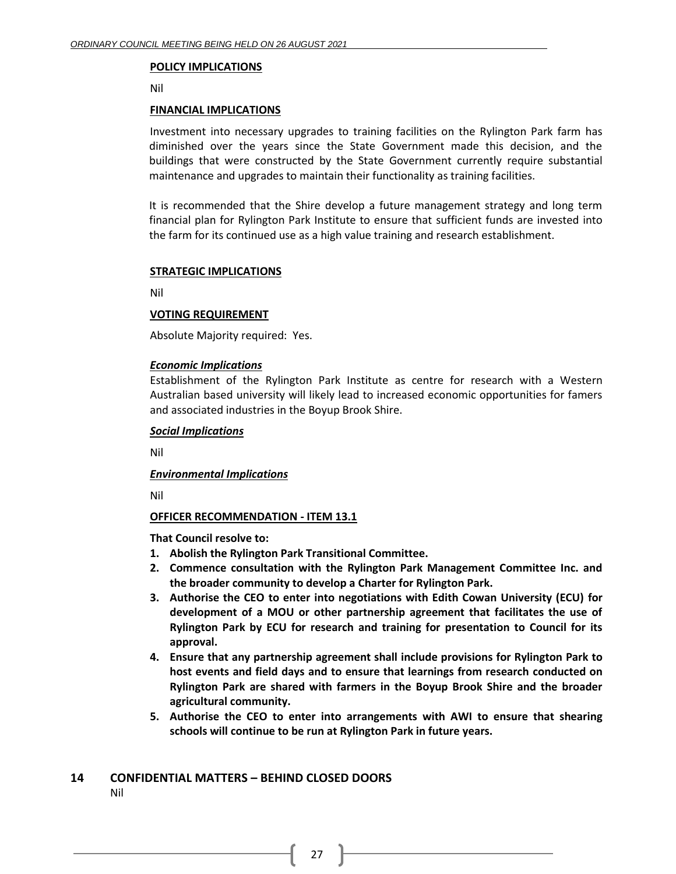#### **POLICY IMPLICATIONS**

Nil

#### **FINANCIAL IMPLICATIONS**

Investment into necessary upgrades to training facilities on the Rylington Park farm has diminished over the years since the State Government made this decision, and the buildings that were constructed by the State Government currently require substantial maintenance and upgrades to maintain their functionality as training facilities.

It is recommended that the Shire develop a future management strategy and long term financial plan for Rylington Park Institute to ensure that sufficient funds are invested into the farm for its continued use as a high value training and research establishment.

#### **STRATEGIC IMPLICATIONS**

Nil

#### **VOTING REQUIREMENT**

Absolute Majority required: Yes.

#### *Economic Implications*

Establishment of the Rylington Park Institute as centre for research with a Western Australian based university will likely lead to increased economic opportunities for famers and associated industries in the Boyup Brook Shire.

#### *Social Implications*

Nil

#### *Environmental Implications*

Nil

#### **OFFICER RECOMMENDATION - ITEM 13.1**

**That Council resolve to:** 

- **1. Abolish the Rylington Park Transitional Committee.**
- **2. Commence consultation with the Rylington Park Management Committee Inc. and the broader community to develop a Charter for Rylington Park.**
- **3. Authorise the CEO to enter into negotiations with Edith Cowan University (ECU) for development of a MOU or other partnership agreement that facilitates the use of Rylington Park by ECU for research and training for presentation to Council for its approval.**
- **4. Ensure that any partnership agreement shall include provisions for Rylington Park to host events and field days and to ensure that learnings from research conducted on Rylington Park are shared with farmers in the Boyup Brook Shire and the broader agricultural community.**
- **5. Authorise the CEO to enter into arrangements with AWI to ensure that shearing schools will continue to be run at Rylington Park in future years.**

# <span id="page-26-0"></span>**14 CONFIDENTIAL MATTERS – BEHIND CLOSED DOORS**

Nil